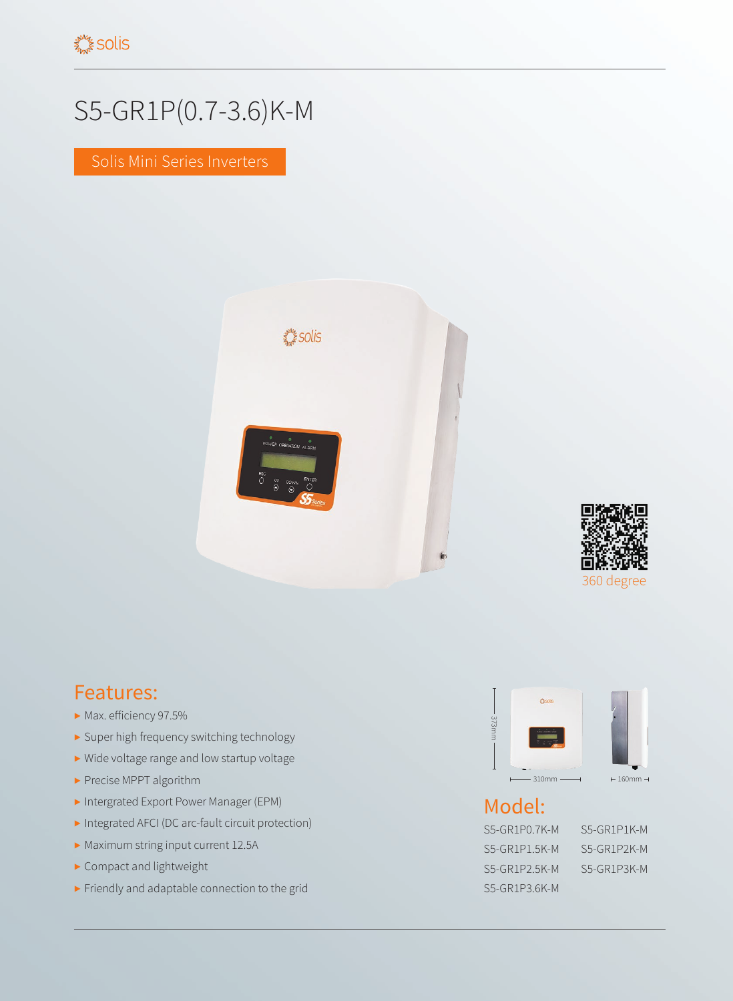## S5-GR1P(0.7-3.6)K-M

Solis Mini Series Inverters





## Features:

- ▶ Max. efficiency 97.5%
- ▶ Super high frequency switching technology
- ▶ Wide voltage range and low startup voltage
- ▶ Precise MPPT algorithm
- ▶ Intergrated Export Power Manager (EPM)
- ▶ Integrated AFCI (DC arc-fault circuit protection)
- ▶ Maximum string input current 12.5A
- ▶ Compact and lightweight
- ▶ Friendly and adaptable connection to the grid



## Model:

S5-GR1P0.7K-M S5-GR1P1K-M S5-GR1P1.5K-M S5-GR1P2K-M S5-GR1P2.5K-M S5-GR1P3K-M S5-GR1P3.6K-M